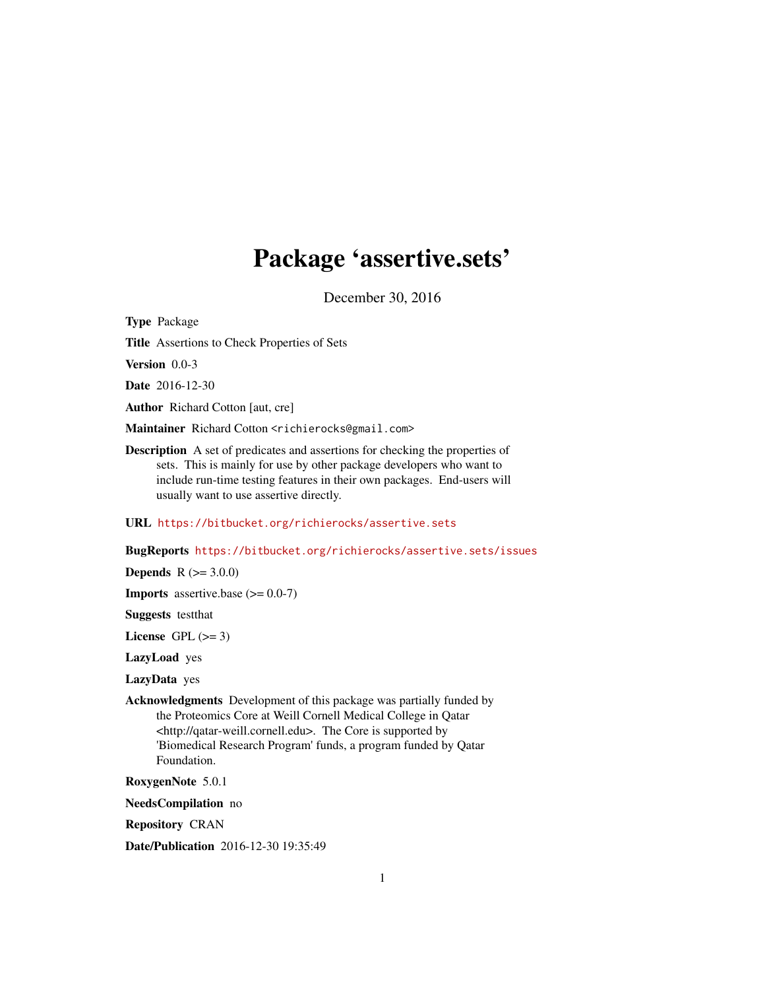## Package 'assertive.sets'

December 30, 2016

<span id="page-0-0"></span>Type Package

Title Assertions to Check Properties of Sets

Version 0.0-3

Date 2016-12-30

Author Richard Cotton [aut, cre]

Maintainer Richard Cotton <richierocks@gmail.com>

Description A set of predicates and assertions for checking the properties of sets. This is mainly for use by other package developers who want to include run-time testing features in their own packages. End-users will usually want to use assertive directly.

URL <https://bitbucket.org/richierocks/assertive.sets>

BugReports <https://bitbucket.org/richierocks/assertive.sets/issues>

**Depends**  $R (= 3.0.0)$ 

**Imports** assertive.base  $(>= 0.0-7)$ 

Suggests testthat

License GPL  $(>= 3)$ 

LazyLoad yes

LazyData yes

Acknowledgments Development of this package was partially funded by the Proteomics Core at Weill Cornell Medical College in Qatar <http://qatar-weill.cornell.edu>. The Core is supported by 'Biomedical Research Program' funds, a program funded by Qatar Foundation.

RoxygenNote 5.0.1

NeedsCompilation no

Repository CRAN

Date/Publication 2016-12-30 19:35:49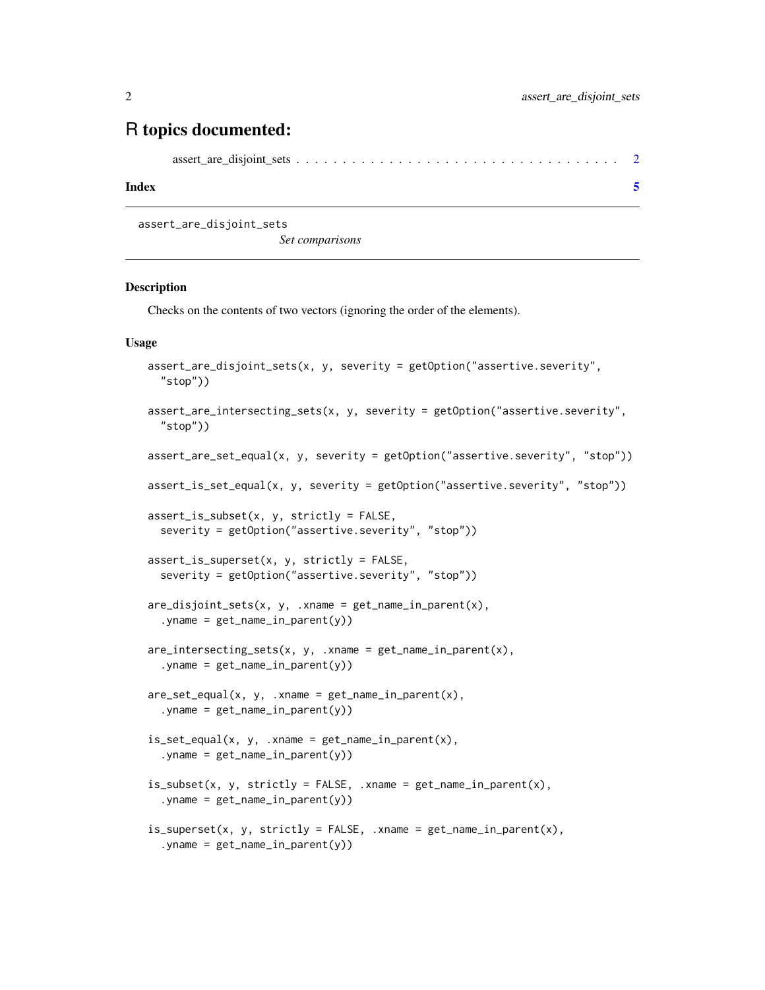### <span id="page-1-0"></span>R topics documented:

|--|--|--|--|--|--|--|--|--|--|--|--|--|--|--|--|--|--|--|--|--|--|--|--|--|--|--|--|--|--|--|--|--|--|--|

#### **Index** [5](#page-4-0). The second state of the second state of the second state of the second state of the second state of the second state of the second state of the second state of the second state of the second state of the second

assert\_are\_disjoint\_sets

*Set comparisons*

#### Description

Checks on the contents of two vectors (ignoring the order of the elements).

#### Usage

```
assert_are_disjoint_sets(x, y, severity = getOption("assertive.severity",
  "stop"))
assert_are_intersecting_sets(x, y, severity = getOption("assertive.severity",
  "stop"))
assert_are_set_equal(x, y, severity = getOption("assertive.severity", "stop"))
assert_is_set_equal(x, y, severity = getOption("assertive.severity", "stop"))
assert_is_subset(x, y, strictly = FALSE,
  severity = getOption("assertive.severity", "stop"))
assert_is_superset(x, y, strictly = FALSE,
  severity = getOption("assertive.severity", "stop"))
are\_disjoint\_sets(x, y, .xname = get\_name_in\_parent(x),.yname = get_name_in_parent(y))
are\_intersecting\_sets(x, y, .xname = get\_name_in\_parent(x),. yname = get_name_in\_parent(y))
are_set_equal(x, y, .xname = get_name_in.parent(x),.yname = get_name_in\_parent(y))
is_set_equal(x, y, xname = get_name_in.parent(x),. yname = get_name_in\_parent(y))
is\_subset(x, y, strictly = FALSE, xname = get_name_in\_parent(x),.yname = get_name_in\_parent(y))
is\_superset(x, y, strictly = FALSE, xname = get_name_in.parent(x),.yname = get_name_in.parent(y))
```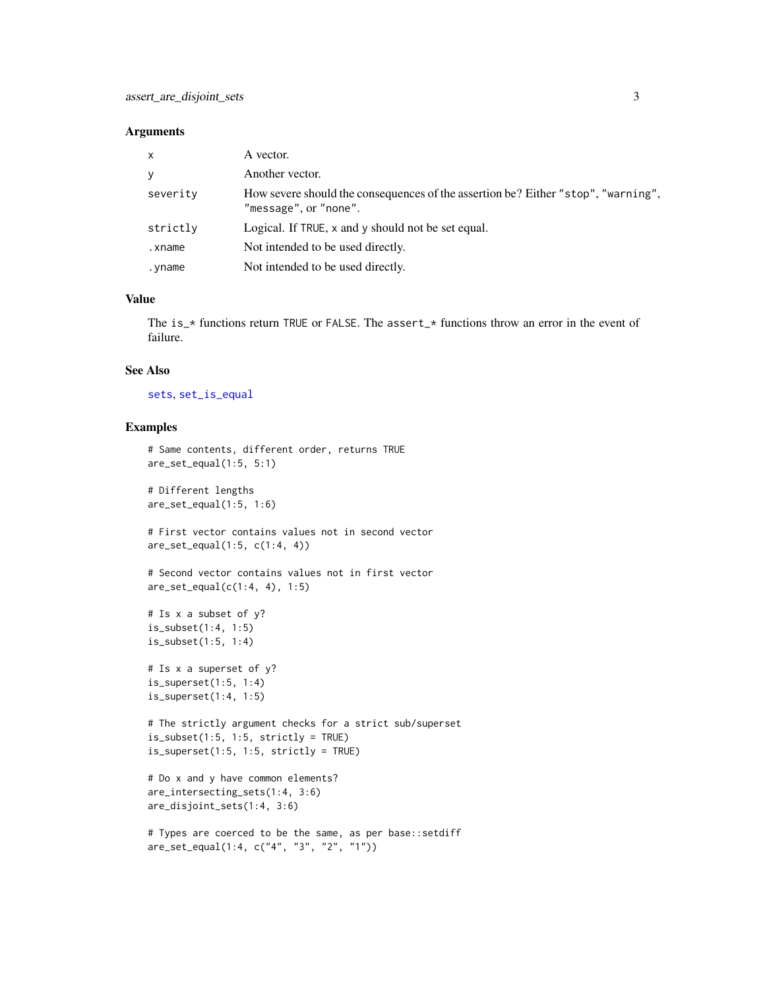#### <span id="page-2-0"></span>**Arguments**

| $\mathsf{x}$ | A vector.                                                                                                  |
|--------------|------------------------------------------------------------------------------------------------------------|
| <b>y</b>     | Another vector.                                                                                            |
| severity     | How severe should the consequences of the assertion be? Either "stop", "warning",<br>"message", or "none". |
| strictly     | Logical. If TRUE, x and y should not be set equal.                                                         |
| .xname       | Not intended to be used directly.                                                                          |
| .yname       | Not intended to be used directly.                                                                          |

#### Value

The is\_\* functions return TRUE or FALSE. The assert\_\* functions throw an error in the event of failure.

#### See Also

[sets](#page-0-0), [set\\_is\\_equal](#page-0-0)

#### Examples

```
# Same contents, different order, returns TRUE
are_set_equal(1:5, 5:1)
# Different lengths
are_set_equal(1:5, 1:6)
# First vector contains values not in second vector
are_set_equal(1:5, c(1:4, 4))
# Second vector contains values not in first vector
are_set_equal(c(1:4, 4), 1:5)
# Is x a subset of y?
is_subset(1:4, 1:5)
is_subset(1:5, 1:4)
# Is x a superset of y?
is_superset(1:5, 1:4)
is_superset(1:4, 1:5)
# The strictly argument checks for a strict sub/superset
is_subset(1:5, 1:5, strictly = TRUE)
is\_superset(1:5, 1:5, strictly = TRUE)# Do x and y have common elements?
are_intersecting_sets(1:4, 3:6)
are_disjoint_sets(1:4, 3:6)
```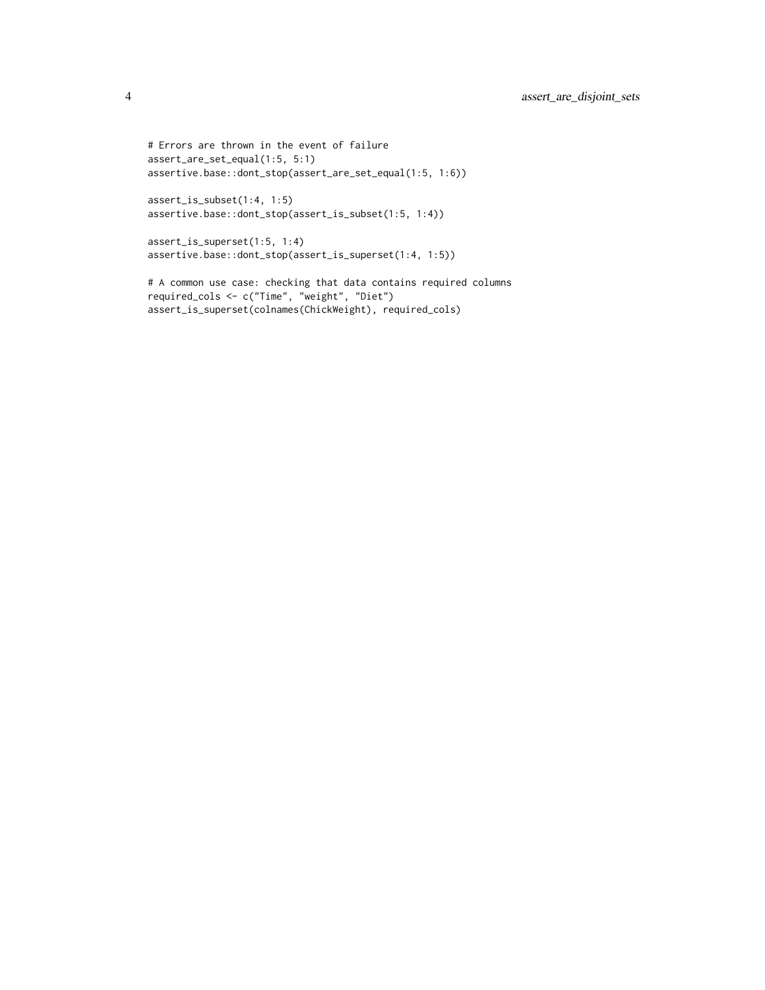```
# Errors are thrown in the event of failure
assert_are_set_equal(1:5, 5:1)
assertive.base::dont_stop(assert_are_set_equal(1:5, 1:6))
```

```
assert_is_subset(1:4, 1:5)
assertive.base::dont_stop(assert_is_subset(1:5, 1:4))
```

```
assert_is_superset(1:5, 1:4)
assertive.base::dont_stop(assert_is_superset(1:4, 1:5))
```

```
# A common use case: checking that data contains required columns
required_cols <- c("Time", "weight", "Diet")
assert_is_superset(colnames(ChickWeight), required_cols)
```